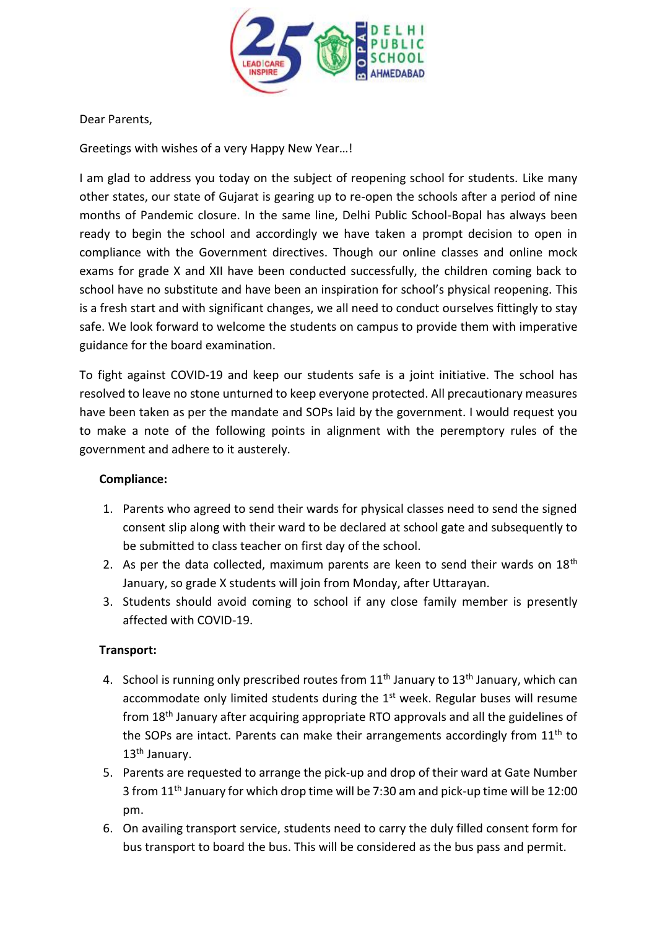

Dear Parents,

Greetings with wishes of a very Happy New Year…!

I am glad to address you today on the subject of reopening school for students. Like many other states, our state of Gujarat is gearing up to re-open the schools after a period of nine months of Pandemic closure. In the same line, Delhi Public School-Bopal has always been ready to begin the school and accordingly we have taken a prompt decision to open in compliance with the Government directives. Though our online classes and online mock exams for grade X and XII have been conducted successfully, the children coming back to school have no substitute and have been an inspiration for school's physical reopening. This is a fresh start and with significant changes, we all need to conduct ourselves fittingly to stay safe. We look forward to welcome the students on campus to provide them with imperative guidance for the board examination.

To fight against COVID-19 and keep our students safe is a joint initiative. The school has resolved to leave no stone unturned to keep everyone protected. All precautionary measures have been taken as per the mandate and SOPs laid by the government. I would request you to make a note of the following points in alignment with the peremptory rules of the government and adhere to it austerely.

### **Compliance:**

- 1. Parents who agreed to send their wards for physical classes need to send the signed consent slip along with their ward to be declared at school gate and subsequently to be submitted to class teacher on first day of the school.
- 2. As per the data collected, maximum parents are keen to send their wards on  $18<sup>th</sup>$ January, so grade X students will join from Monday, after Uttarayan.
- 3. Students should avoid coming to school if any close family member is presently affected with COVID-19.

### **Transport:**

- 4. School is running only prescribed routes from 11<sup>th</sup> January to 13<sup>th</sup> January, which can accommodate only limited students during the  $1<sup>st</sup>$  week. Regular buses will resume from 18th January after acquiring appropriate RTO approvals and all the guidelines of the SOPs are intact. Parents can make their arrangements accordingly from 11<sup>th</sup> to 13<sup>th</sup> January.
- 5. Parents are requested to arrange the pick-up and drop of their ward at Gate Number 3 from 11th January for which drop time will be 7:30 am and pick-up time will be 12:00 pm.
- 6. On availing transport service, students need to carry the duly filled consent form for bus transport to board the bus. This will be considered as the bus pass and permit.